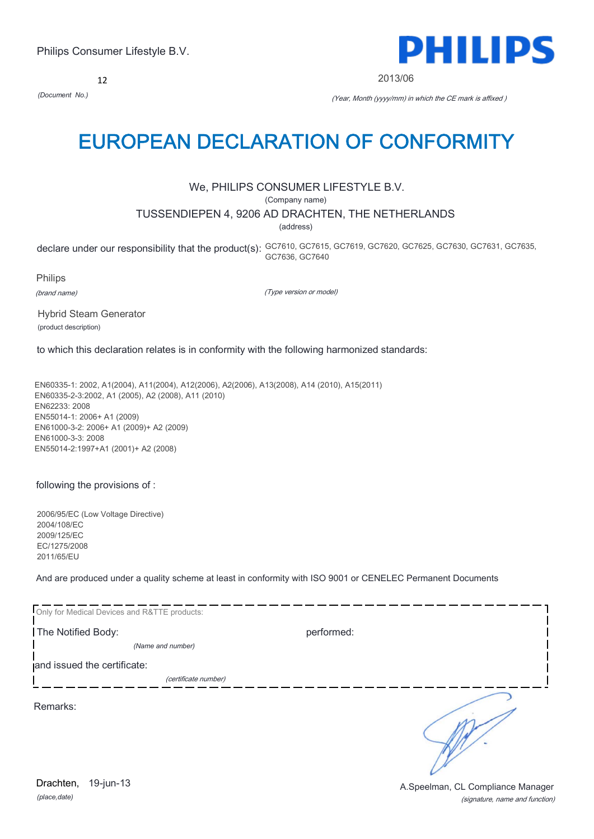12



2013/06

*(Document No.)* (Year, Month (yyyy/mm) in which the CE mark is affixed )

# EUROPEAN DECLARATION OF CONFORMITY

# We, PHILIPS CONSUMER LIFESTYLE B.V.

(Company name)

# TUSSENDIEPEN 4, 9206 AD DRACHTEN, THE NETHERLANDS

(address)

declare under our responsibility that the product(s): GC7610, GC7615, GC7619, GC7620, GC7625, GC7630, GC7631, GC7635, GC7636, GC7640

Philips (brand name)

(Type version or model)

Hybrid Steam Generator (product description)

to which this declaration relates is in conformity with the following harmonized standards:

EN60335-1: 2002, A1(2004), A11(2004), A12(2006), A2(2006), A13(2008), A14 (2010), A15(2011) EN60335-2-3:2002, A1 (2005), A2 (2008), A11 (2010) EN62233: 2008 EN55014-1: 2006+ A1 (2009) EN61000-3-2: 2006+ A1 (2009)+ A2 (2009) EN61000-3-3: 2008 EN55014-2:1997+A1 (2001)+ A2 (2008)

following the provisions of :

2006/95/EC (Low Voltage Directive) 2004/108/EC 2009/125/EC EC/1275/2008 2011/65/EU

And are produced under a quality scheme at least in conformity with ISO 9001 or CENELEC Permanent Documents

| Only for Medical Devices and R&TTE products: |                      |            |  |
|----------------------------------------------|----------------------|------------|--|
| The Notified Body:                           |                      | performed: |  |
|                                              | (Name and number)    |            |  |
| and issued the certificate:                  |                      |            |  |
|                                              | (certificate number) |            |  |
| Remarks:                                     |                      |            |  |

*(place,date)* 19-jun-13

(signature, name and function) Drachten, 19-jun-13 **Drachten**, 19-jun-13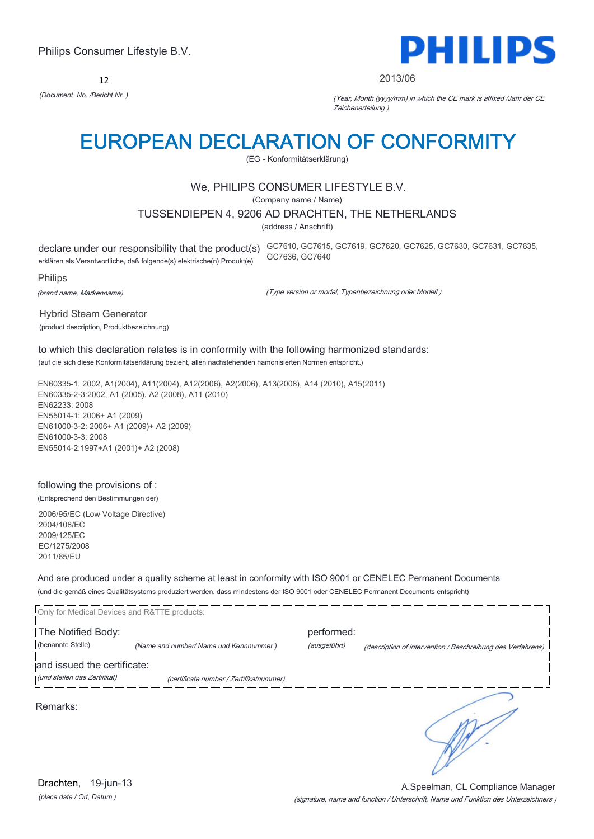12



#### 2013/06

*(Document No. /Bericht Nr. )* (Year, Month (yyyy/mm) in which the CE mark is affixed /Jahr der CE Zeichenerteilung )

# EUROPEAN DECLARATION OF CONFORMITY

(EG - Konformitätserklärung)

# We, PHILIPS CONSUMER LIFESTYLE B.V.

(Company name / Name)

#### TUSSENDIEPEN 4, 9206 AD DRACHTEN, THE NETHERLANDS

(address / Anschrift)

erklären als Verantwortliche, daß folgende(s) elektrische(n) Produkt(e)

declare under our responsibility that the product(s) GC7610, GC7615, GC7619, GC7620, GC7625, GC7630, GC7631, GC7635, GC7636, GC7640

Philips

(brand name, Markenname)

(Type version or model, Typenbezeichnung oder Modell )

Hybrid Steam Generator (product description, Produktbezeichnung)

to which this declaration relates is in conformity with the following harmonized standards: (auf die sich diese Konformitätserklärung bezieht, allen nachstehenden hamonisierten Normen entspricht.)

EN60335-1: 2002, A1(2004), A11(2004), A12(2006), A2(2006), A13(2008), A14 (2010), A15(2011) EN60335-2-3:2002, A1 (2005), A2 (2008), A11 (2010) EN62233: 2008 EN55014-1: 2006+ A1 (2009) EN61000-3-2: 2006+ A1 (2009)+ A2 (2009) EN61000-3-3: 2008 EN55014-2:1997+A1 (2001)+ A2 (2008)

# following the provisions of :

(Entsprechend den Bestimmungen der)

2006/95/EC (Low Voltage Directive) 2004/108/EC 2009/125/EC EC/1275/2008 2011/65/EU

And are produced under a quality scheme at least in conformity with ISO 9001 or CENELEC Permanent Documents (und die gemäß eines Qualitätsystems produziert werden, dass mindestens der ISO 9001 oder CENELEC Permanent Documents entspricht)

| Only for Medical Devices and R&TTE products: |                                         |              |                                                             |
|----------------------------------------------|-----------------------------------------|--------------|-------------------------------------------------------------|
| The Notified Body:                           |                                         | performed:   |                                                             |
| (benannte Stelle)                            | (Name and number/ Name und Kennnummer)  | (ausgeführt) | (description of intervention / Beschreibung des Verfahrens) |
| and issued the certificate:                  |                                         |              |                                                             |
| (und stellen das Zertifikat)                 | (certificate number / Zertifikatnummer) |              |                                                             |
| Remarks:                                     |                                         |              |                                                             |

*(place,date / Ort, Datum )* Drachten, 19-jun-13

(signature, name and function / Unterschrift, Name und Funktion des Unterzeichners ) A.Speelman, CL Compliance Manager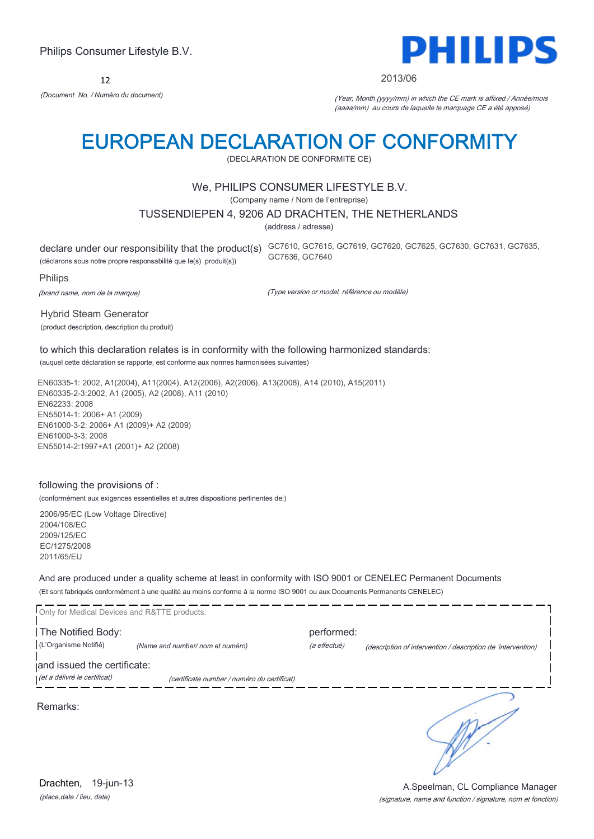12



#### 2013/06

*(Document No. / Numéro du document)* (Year, Month (yyyy/mm) in which the CE mark is affixed / Année/mois (aaaa/mm) au cours de laquelle le marquage CE a été apposé)

# EUROPEAN DECLARATION OF CONFORMITY

(DECLARATION DE CONFORMITE CE)

### We, PHILIPS CONSUMER LIFESTYLE B.V.

(Company name / Nom de l'entreprise)

#### TUSSENDIEPEN 4, 9206 AD DRACHTEN, THE NETHERLANDS

(address / adresse)

(déclarons sous notre propre responsabilité que le(s) produit(s))

declare under our responsibility that the product(s) GC7610, GC7615, GC7619, GC7620, GC7625, GC7630, GC7631, GC7635, GC7636, GC7640

Philips

(brand name, nom de la marque)

(Type version or model, référence ou modèle)

Hybrid Steam Generator (product description, description du produit)

to which this declaration relates is in conformity with the following harmonized standards: (auquel cette déclaration se rapporte, est conforme aux normes harmonisées suivantes)

EN60335-1: 2002, A1(2004), A11(2004), A12(2006), A2(2006), A13(2008), A14 (2010), A15(2011) EN60335-2-3:2002, A1 (2005), A2 (2008), A11 (2010) EN62233: 2008 EN55014-1: 2006+ A1 (2009) EN61000-3-2: 2006+ A1 (2009)+ A2 (2009) EN61000-3-3: 2008 EN55014-2:1997+A1 (2001)+ A2 (2008)

#### following the provisions of :

(conformément aux exigences essentielles et autres dispositions pertinentes de:)

2006/95/EC (Low Voltage Directive) 2004/108/EC 2009/125/EC EC/1275/2008 2011/65/EU

And are produced under a quality scheme at least in conformity with ISO 9001 or CENELEC Permanent Documents (Et sont fabriqués conformément à une qualité au moins conforme à la norme ISO 9001 ou aux Documents Permanents CENELEC)

| Only for Medical Devices and R&TTE products:                |                                             |                            |                                                              |
|-------------------------------------------------------------|---------------------------------------------|----------------------------|--------------------------------------------------------------|
| The Notified Body:<br>(L'Organisme Notifié)                 | (Name and number/ nom et numéro)            | performed:<br>(a effectué) | (description of intervention / description de 'intervention) |
| and issued the certificate:<br>(et a délivré le certificat) | (certificate number / numéro du certificat) |                            |                                                              |
| Remarks:                                                    |                                             |                            |                                                              |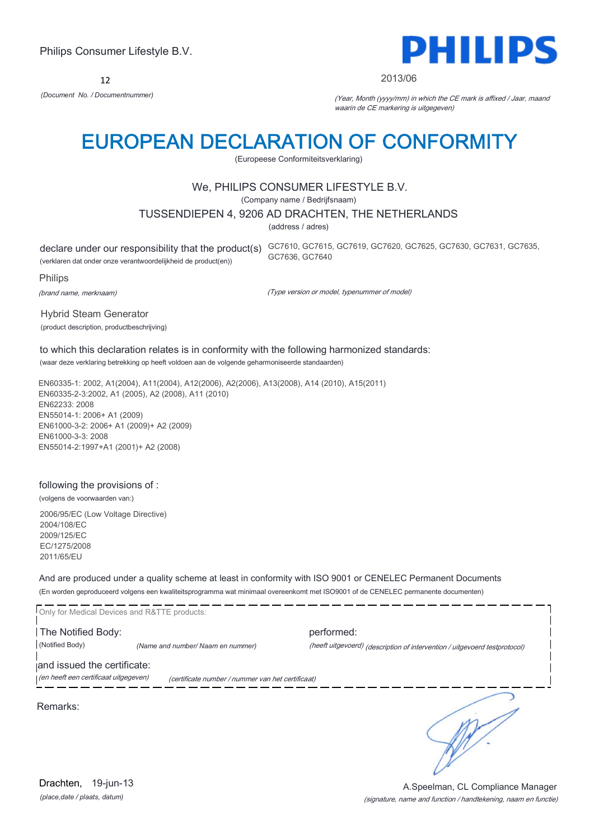12



#### 2013/06

*(Document No. / Documentnummer)* (Year, Month (yyyy/mm) in which the CE mark is affixed / Jaar, maand waarin de CE markering is uitgegeven)

# EUROPEAN DECLARATION OF CONFORMITY

(Europeese Conformiteitsverklaring)

### We, PHILIPS CONSUMER LIFESTYLE B.V.

(Company name / Bedrijfsnaam)

#### TUSSENDIEPEN 4, 9206 AD DRACHTEN, THE NETHERLANDS

(address / adres)

(verklaren dat onder onze verantwoordelijkheid de product(en))

declare under our responsibility that the product(s) GC7610, GC7615, GC7619, GC7620, GC7625, GC7630, GC7631, GC7635, GC7636, GC7640

Philips

(brand name, merknaam)

(Type version or model, typenummer of model)

Hybrid Steam Generator (product description, productbeschrijving)

to which this declaration relates is in conformity with the following harmonized standards: (waar deze verklaring betrekking op heeft voldoen aan de volgende geharmoniseerde standaarden)

EN60335-1: 2002, A1(2004), A11(2004), A12(2006), A2(2006), A13(2008), A14 (2010), A15(2011) EN60335-2-3:2002, A1 (2005), A2 (2008), A11 (2010) EN62233: 2008 EN55014-1: 2006+ A1 (2009) EN61000-3-2: 2006+ A1 (2009)+ A2 (2009) EN61000-3-3: 2008 EN55014-2:1997+A1 (2001)+ A2 (2008)

### following the provisions of :

(volgens de voorwaarden van:)

2006/95/EC (Low Voltage Directive) 2004/108/EC 2009/125/EC EC/1275/2008 2011/65/EU

And are produced under a quality scheme at least in conformity with ISO 9001 or CENELEC Permanent Documents (En worden geproduceerd volgens een kwaliteitsprogramma wat minimaal overeenkomt met ISO9001 of de CENELEC permanente documenten)

Only for Medical Devices and R&TTE products: The Notified Body: performed: (Notified Body) *(Name and number/ Naam en nummer)* (heeft uitgevoerd) (description of intervention / uitgevoerd testprotocol) and issued the certificate:<br>(en heeft een certificaat uitgegeven) (certificate number / nummer van het certificaat)

Remarks:

٦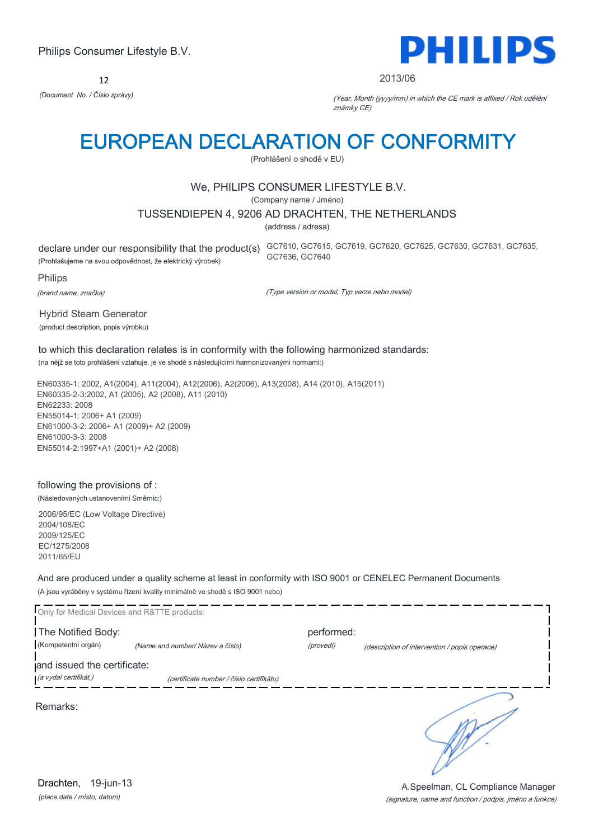12



#### 2013/06

*(Document No. / Číslo zprávy)* (Year, Month (yyyy/mm) in which the CE mark is affixed / Rok udělění známky CE)

# EUROPEAN DECLARATION OF CONFORMITY

(Prohlášení o shodě v EU)

### We, PHILIPS CONSUMER LIFESTYLE B.V.

(Company name / Jméno)

#### TUSSENDIEPEN 4, 9206 AD DRACHTEN, THE NETHERLANDS

(address / adresa)

(Prohlašujeme na svou odpovědnost, že elektrický výrobek)

declare under our responsibility that the product(s) GC7610, GC7615, GC7619, GC7620, GC7625, GC7630, GC7631, GC7635, GC7636, GC7640

Philips

(brand name, značka)

(Type version or model, Typ verze nebo model)

Hybrid Steam Generator (product description, popis výrobku)

to which this declaration relates is in conformity with the following harmonized standards: (na nějž se toto prohlášení vztahuje, je ve shodě s následujícími harmonizovanými normami:)

EN60335-1: 2002, A1(2004), A11(2004), A12(2006), A2(2006), A13(2008), A14 (2010), A15(2011) EN60335-2-3:2002, A1 (2005), A2 (2008), A11 (2010) EN62233: 2008 EN55014-1: 2006+ A1 (2009) EN61000-3-2: 2006+ A1 (2009)+ A2 (2009) EN61000-3-3: 2008 EN55014-2:1997+A1 (2001)+ A2 (2008)

### following the provisions of :

(Následovaných ustanoveními Směrnic:)

2006/95/EC (Low Voltage Directive) 2004/108/EC 2009/125/EC EC/1275/2008 2011/65/EU

And are produced under a quality scheme at least in conformity with ISO 9001 or CENELEC Permanent Documents (A jsou vyráběny v systému řízení kvality minimálně ve shodě s ISO 9001 nebo)

| Only for Medical Devices and R&TTE products: |                                          |            |                                               |
|----------------------------------------------|------------------------------------------|------------|-----------------------------------------------|
| The Notified Body:                           |                                          | performed: |                                               |
| (Kompetentní orgán)                          | (Name and number/Název a číslo)          | (provedl)  | (description of intervention / popis operace) |
| and issued the certificate:                  |                                          |            |                                               |
| (a vydal certifikát,)                        | (certificate number / číslo certifikátu) |            |                                               |
| Remarks:                                     |                                          |            |                                               |

*(place,date / místo, datum)* Drachten, 19-jun-13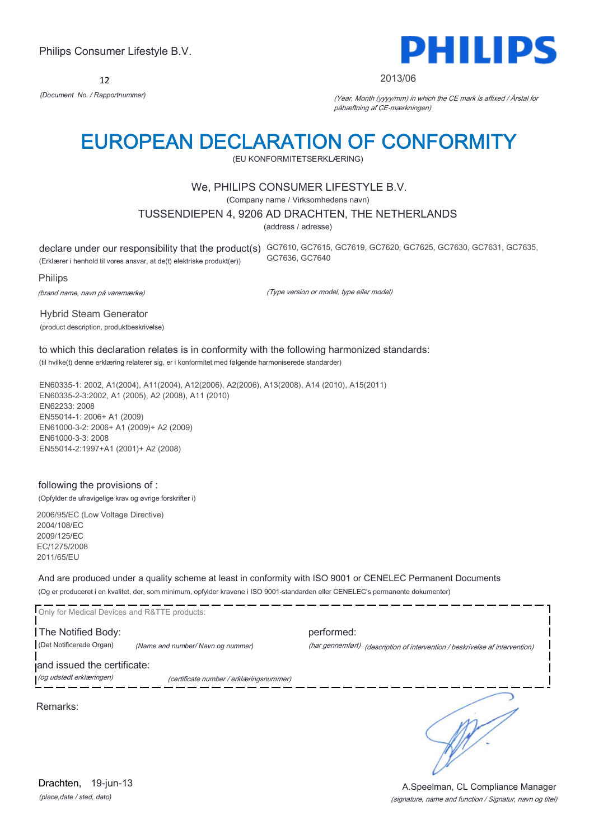12



#### 2013/06

*(Document No. / Rapportnummer)* (Year, Month (yyyy/mm) in which the CE mark is affixed / Årstal for påhæftning af CE-mærkningen)

# EUROPEAN DECLARATION OF CONFORMITY

(EU KONFORMITETSERKLÆRING)

### We, PHILIPS CONSUMER LIFESTYLE B.V.

(Company name / Virksomhedens navn)

#### TUSSENDIEPEN 4, 9206 AD DRACHTEN, THE NETHERLANDS

(address / adresse)

declare under our responsibility that the product(s) GC7610, GC7615, GC7619, GC7620, GC7625, GC7630, GC7631, GC7635, (Erklærer i henhold til vores ansvar, at de(t) elektriske produkt(er)) GC7636, GC7640

Philips

(brand name, navn på varemærke)

(Type version or model, type eller model)

Hybrid Steam Generator (product description, produktbeskrivelse)

to which this declaration relates is in conformity with the following harmonized standards: (til hvilke(t) denne erklæring relaterer sig, er i konformitet med følgende harmoniserede standarder)

EN60335-1: 2002, A1(2004), A11(2004), A12(2006), A2(2006), A13(2008), A14 (2010), A15(2011) EN60335-2-3:2002, A1 (2005), A2 (2008), A11 (2010) EN62233: 2008 EN55014-1: 2006+ A1 (2009) EN61000-3-2: 2006+ A1 (2009)+ A2 (2009) EN61000-3-3: 2008 EN55014-2:1997+A1 (2001)+ A2 (2008)

### following the provisions of :

(Opfylder de ufravigelige krav og øvrige forskrifter i)

2006/95/EC (Low Voltage Directive) 2004/108/EC 2009/125/EC EC/1275/2008 2011/65/EU

And are produced under a quality scheme at least in conformity with ISO 9001 or CENELEC Permanent Documents (Og er produceret i en kvalitet, der, som minimum, opfylder kravene i ISO 9001-standarden eller CENELEC's permanente dokumenter)

| Only for Medical Devices and R&TTE products:            |                                         |            |                                                                              |
|---------------------------------------------------------|-----------------------------------------|------------|------------------------------------------------------------------------------|
| The Notified Body:<br>(Det Notificerede Organ)          | (Name and number/ Navn og nummer)       | performed: | (har gennemført) (description of intervention / beskrivelse af intervention) |
| and issued the certificate:<br>(og udstedt erklæringen) | (certificate number / erklæringsnummer) |            |                                                                              |
|                                                         |                                         |            |                                                                              |

Remarks:

*(place,date / sted, dato)* Drachten, 19-jun-13

#### (signature, name and function / Signatur, navn og titel) A.Speelman, CL Compliance Manager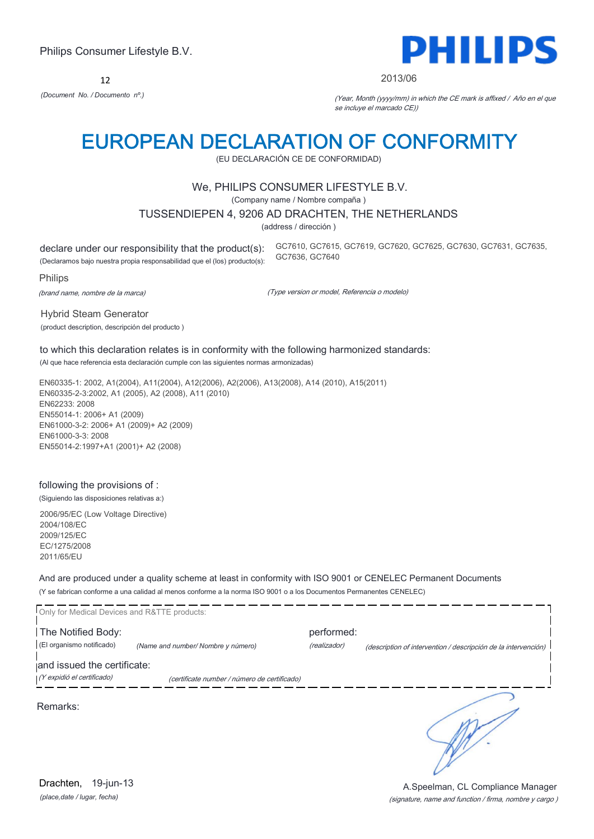12



#### 2013/06

*(Document No. / Documento nº.)* (Year, Month (yyyy/mm) in which the CE mark is affixed / Año en el que se incluye el marcado CE))

# EUROPEAN DECLARATION OF CONFORMITY

(EU DECLARACIÓN CE DE CONFORMIDAD)

### We, PHILIPS CONSUMER LIFESTYLE B.V.

(Company name / Nombre compaña )

#### TUSSENDIEPEN 4, 9206 AD DRACHTEN, THE NETHERLANDS

(address / dirección )

declare under our responsibility that the product(s): (Declaramos bajo nuestra propia responsabilidad que el (los) producto(s): GC7610, GC7615, GC7619, GC7620, GC7625, GC7630, GC7631, GC7635, GC7636, GC7640

Philips

(brand name, nombre de la marca)

(Type version or model, Referencia o modelo)

Hybrid Steam Generator (product description, descripción del producto )

to which this declaration relates is in conformity with the following harmonized standards: (Al que hace referencia esta declaración cumple con las siguientes normas armonizadas)

EN60335-1: 2002, A1(2004), A11(2004), A12(2006), A2(2006), A13(2008), A14 (2010), A15(2011) EN60335-2-3:2002, A1 (2005), A2 (2008), A11 (2010) EN62233: 2008 EN55014-1: 2006+ A1 (2009) EN61000-3-2: 2006+ A1 (2009)+ A2 (2009) EN61000-3-3: 2008 EN55014-2:1997+A1 (2001)+ A2 (2008)

### following the provisions of :

(Siguiendo las disposiciones relativas a:)

2006/95/EC (Low Voltage Directive) 2004/108/EC 2009/125/EC EC/1275/2008 2011/65/EU

And are produced under a quality scheme at least in conformity with ISO 9001 or CENELEC Permanent Documents (Y se fabrican conforme a una calidad al menos conforme a la norma ISO 9001 o a los Documentos Permanentes CENELEC)

| Only for Medical Devices and R&TTE products: |                                              |              |                                                                |
|----------------------------------------------|----------------------------------------------|--------------|----------------------------------------------------------------|
| The Notified Body:                           |                                              | performed:   |                                                                |
| (El organismo notificado)                    | (Name and number/Nombre y número)            | (realizador) | (description of intervention / descripción de la intervención) |
| and issued the certificate:                  |                                              |              |                                                                |
| (Y expidió el certificado)                   | (certificate number / número de certificado) |              |                                                                |
| Remarks:                                     |                                              |              |                                                                |

*(place,date / lugar, fecha)* Drachten, 19-jun-13

#### (signature, name and function / firma, nombre y cargo ) A.Speelman, CL Compliance Manager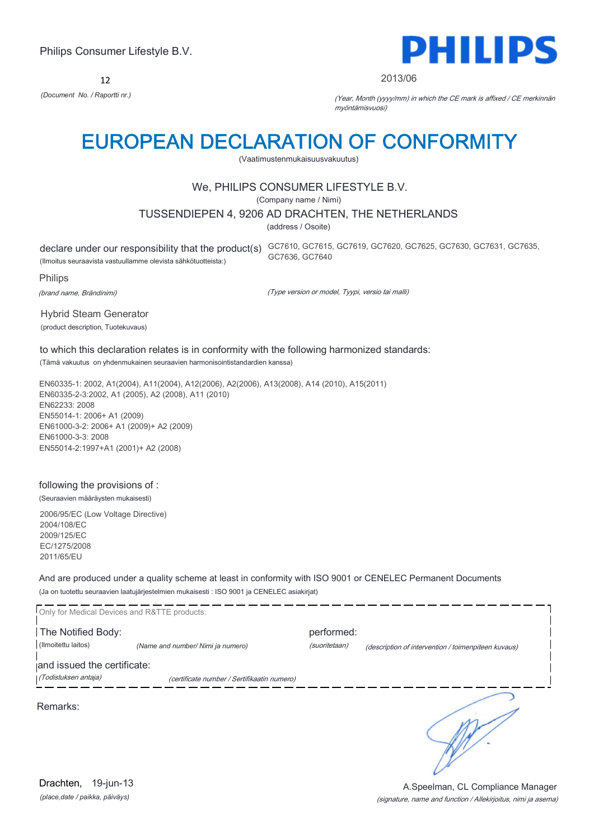12



#### 2013/06

*(Document No. / Raportti nr.)* (Year, Month (yyyy/mm) in which the CE mark is affixed / CE merkinnän myöntämisvuosi)

# EUROPEAN DECLARATION OF CONFORMITY

(Vaatimustenmukaisuusvakuutus)

# We, PHILIPS CONSUMER LIFESTYLE B.V.

(Company name / Nimi)

#### TUSSENDIEPEN 4, 9206 AD DRACHTEN, THE NETHERLANDS

(address / Osoite)

(Ilmoitus seuraavista vastuullamme olevista sähkötuotteista:)

declare under our responsibility that the product(s) GC7610, GC7615, GC7619, GC7620, GC7625, GC7630, GC7631, GC7635, GC7636, GC7640

Philips

(brand name, Brändinimi)

(Type version or model, Tyypi, versio tai malli)

Hybrid Steam Generator (product description, Tuotekuvaus)

to which this declaration relates is in conformity with the following harmonized standards: (Tämä vakuutus on yhdenmukainen seuraavien harmonisointistandardien kanssa)

EN60335-1: 2002, A1(2004), A11(2004), A12(2006), A2(2006), A13(2008), A14 (2010), A15(2011) EN60335-2-3:2002, A1 (2005), A2 (2008), A11 (2010) EN62233: 2008 EN55014-1: 2006+ A1 (2009) EN61000-3-2: 2006+ A1 (2009)+ A2 (2009) EN61000-3-3: 2008 EN55014-2:1997+A1 (2001)+ A2 (2008)

### following the provisions of :

(Seuraavien määräysten mukaisesti)

2006/95/EC (Low Voltage Directive) 2004/108/EC 2009/125/EC EC/1275/2008 2011/65/EU

And are produced under a quality scheme at least in conformity with ISO 9001 or CENELEC Permanent Documents (Ja on tuotettu seuraavien laatujärjestelmien mukaisesti : ISO 9001 ja CENELEC asiakirjat)

| Only for Medical Devices and R&TTE products: |                                             |               |                                                     |
|----------------------------------------------|---------------------------------------------|---------------|-----------------------------------------------------|
| The Notified Body:                           |                                             | performed:    |                                                     |
| (Ilmoitettu laitos)                          | (Name and number/ Nimi ja numero)           | (suoritetaan) | (description of intervention / toimenpiteen kuvaus) |
| and issued the certificate:                  |                                             |               |                                                     |
| (Todistuksen antaja)                         | (certificate number / Sertifikaatin numero) |               |                                                     |
| Remarks:                                     |                                             |               |                                                     |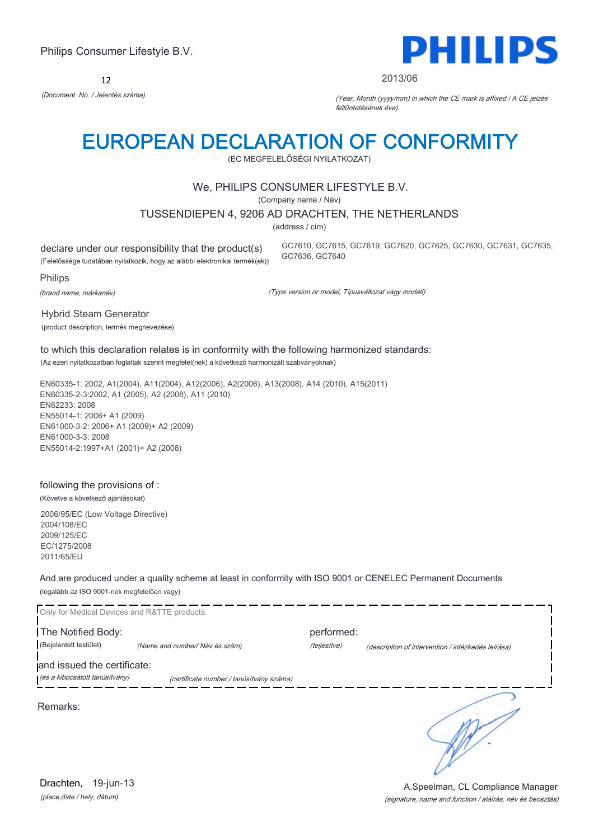12



#### 2013/06

*(Document No. / Jelentés száma)* (Year, Month (yyyy/mm) in which the CE mark is affixed / A CE jelzés feltüntetésének éve)

# EUROPEAN DECLARATION OF CONFORMITY

(EC MEGFELELŐSÉGI NYILATKOZAT)

### We, PHILIPS CONSUMER LIFESTYLE B.V.

(Company name / Név)

TUSSENDIEPEN 4, 9206 AD DRACHTEN, THE NETHERLANDS

(address / cím)

declare under our responsibility that the product(s) (Felelőssége tudatában nyilatkozik, hogy az alábbi elektronikai termék(ek)) GC7610, GC7615, GC7619, GC7620, GC7625, GC7630, GC7631, GC7635, GC7636, GC7640

Philips

(brand name, márkanév)

(Type version or model, Típusváltozat vagy modell)

Hybrid Steam Generator (product description, termék megnevezése)

to which this declaration relates is in conformity with the following harmonized standards: (Az ezen nyilatkozatban foglaltak szerint megfelel(nek) a következő harmonizált szabványoknak)

EN60335-1: 2002, A1(2004), A11(2004), A12(2006), A2(2006), A13(2008), A14 (2010), A15(2011) EN60335-2-3:2002, A1 (2005), A2 (2008), A11 (2010) EN62233: 2008 EN55014-1: 2006+ A1 (2009) EN61000-3-2: 2006+ A1 (2009)+ A2 (2009) EN61000-3-3: 2008 EN55014-2:1997+A1 (2001)+ A2 (2008)

# following the provisions of :

(Követve a következő ajánlásokat)

2006/95/EC (Low Voltage Directive) 2004/108/EC 2009/125/EC EC/1275/2008 2011/65/EU

And are produced under a quality scheme at least in conformity with ISO 9001 or CENELEC Permanent Documents (legalább az ISO 9001-nek megfelelően vagy)

Only for Medical Devices and R&TTE products: The Notified Body: performed: (Bejelentett testület) *(Name and number/ Név és szám)* (teljesítve) (description of intervention / intézkedés leírása) and issued the certificate: (és a kibocsátott tanúsítvány) (certificate number / tanúsítvány száma) ٦ Remarks: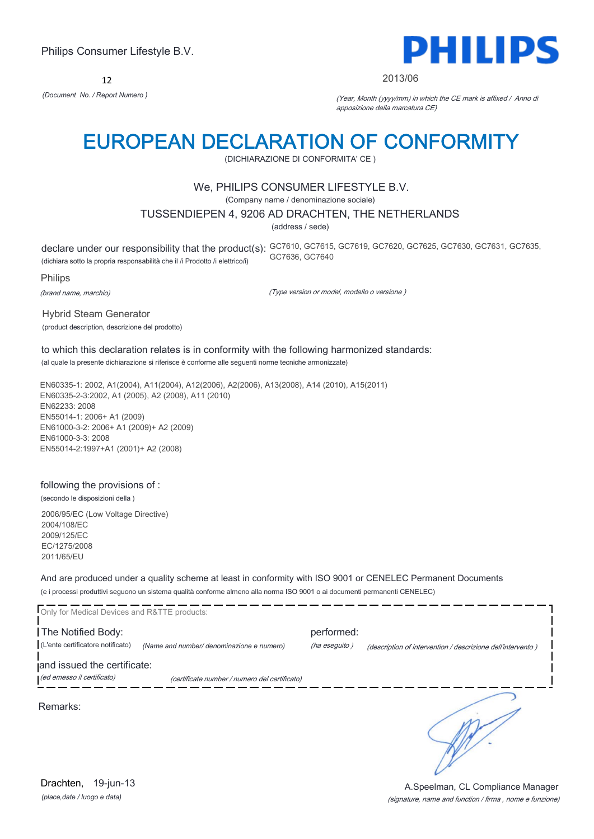12



#### 2013/06

*(Document No. / Report Numero )* (Year, Month (yyyy/mm) in which the CE mark is affixed / Anno di apposizione della marcatura CE)

# EUROPEAN DECLARATION OF CONFORMITY

(DICHIARAZIONE DI CONFORMITA' CE )

### We, PHILIPS CONSUMER LIFESTYLE B.V.

(Company name / denominazione sociale)

#### TUSSENDIEPEN 4, 9206 AD DRACHTEN, THE NETHERLANDS

(address / sede)

declare under our responsibility that the product(s): GC7610, GC7615, GC7619, GC7620, GC7625, GC7630, GC7631, GC7635, (dichiara sotto la propria responsabilità che il /i Prodotto /i elettrico/i) GC7636, GC7640

Philips

(brand name, marchio)

(Type version or model, modello o versione )

Hybrid Steam Generator (product description, descrizione del prodotto)

to which this declaration relates is in conformity with the following harmonized standards: (al quale la presente dichiarazione si riferisce è conforme alle seguenti norme tecniche armonizzate)

EN60335-1: 2002, A1(2004), A11(2004), A12(2006), A2(2006), A13(2008), A14 (2010), A15(2011) EN60335-2-3:2002, A1 (2005), A2 (2008), A11 (2010) EN62233: 2008 EN55014-1: 2006+ A1 (2009) EN61000-3-2: 2006+ A1 (2009)+ A2 (2009) EN61000-3-3: 2008 EN55014-2:1997+A1 (2001)+ A2 (2008)

# following the provisions of :

(secondo le disposizioni della )

2006/95/EC (Low Voltage Directive) 2004/108/EC 2009/125/EC EC/1275/2008 2011/65/EU

And are produced under a quality scheme at least in conformity with ISO 9001 or CENELEC Permanent Documents (e i processi produttivi seguono un sistema qualità conforme almeno alla norma ISO 9001 o ai documenti permanenti CENELEC)

| Only for Medical Devices and R&TTE products: |                                               |               |                                                             |
|----------------------------------------------|-----------------------------------------------|---------------|-------------------------------------------------------------|
| The Notified Body:                           |                                               | performed:    |                                                             |
| (L'ente certificatore notificato)            | (Name and number/ denominazione e numero)     | (ha eseguito) | (description of intervention / descrizione dell'intervento) |
| and issued the certificate:                  |                                               |               |                                                             |
| (ed emesso il certificato)                   | (certificate number / numero del certificato) |               |                                                             |
| Remarks:                                     |                                               |               |                                                             |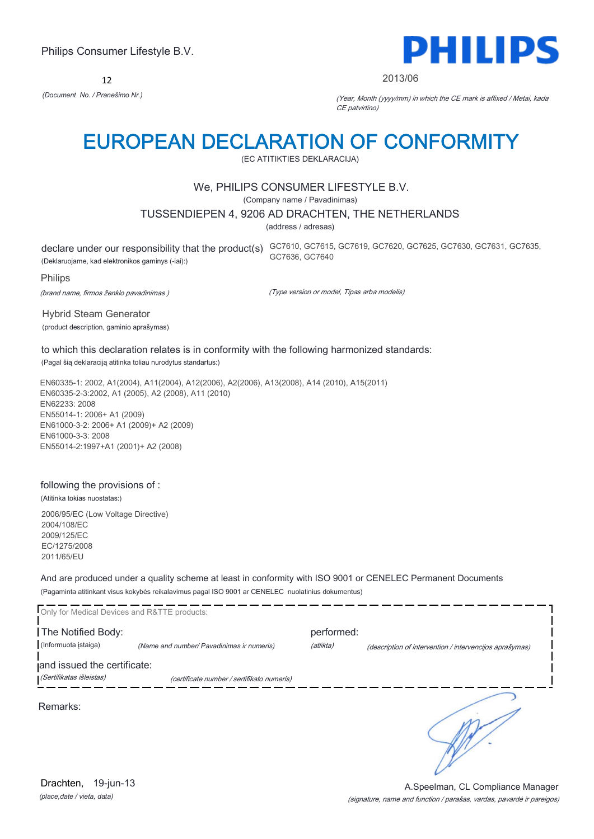12



#### 2013/06

*(Document No. / Pranešimo Nr.)* (Year, Month (yyyy/mm) in which the CE mark is affixed / Metai, kada CE patvirtino)

# EUROPEAN DECLARATION OF CONFORMITY

(EC ATITIKTIES DEKLARACIJA)

### We, PHILIPS CONSUMER LIFESTYLE B.V.

(Company name / Pavadinimas)

#### TUSSENDIEPEN 4, 9206 AD DRACHTEN, THE NETHERLANDS

(address / adresas)

declare under our responsibility that the product(s) GC7610, GC7615, GC7619, GC7620, GC7625, GC7630, GC7631, GC7635, (Deklaruojame, kad elektronikos gaminys (-iai):) GC7636, GC7640

#### Philips

(brand name, firmos ženklo pavadinimas )

(Type version or model, Tipas arba modelis)

Hybrid Steam Generator (product description, gaminio aprašymas)

to which this declaration relates is in conformity with the following harmonized standards: (Pagal šią deklaraciją atitinka toliau nurodytus standartus:)

EN60335-1: 2002, A1(2004), A11(2004), A12(2006), A2(2006), A13(2008), A14 (2010), A15(2011) EN60335-2-3:2002, A1 (2005), A2 (2008), A11 (2010) EN62233: 2008 EN55014-1: 2006+ A1 (2009) EN61000-3-2: 2006+ A1 (2009)+ A2 (2009) EN61000-3-3: 2008 EN55014-2:1997+A1 (2001)+ A2 (2008)

### following the provisions of :

(Atitinka tokias nuostatas:)

2006/95/EC (Low Voltage Directive) 2004/108/EC 2009/125/EC EC/1275/2008 2011/65/EU

And are produced under a quality scheme at least in conformity with ISO 9001 or CENELEC Permanent Documents (Pagaminta atitinkant visus kokybės reikalavimus pagal ISO 9001 ar CENELEC nuolatinius dokumentus)

| Only for Medical Devices and R&TTE products: |                                            |            |                                                         |
|----------------------------------------------|--------------------------------------------|------------|---------------------------------------------------------|
| The Notified Body:                           |                                            | performed: |                                                         |
| (Informuota istaiga)                         | (Name and number/ Pavadinimas ir numeris)  | (atlikta)  | (description of intervention / intervencijos aprašymas) |
| and issued the certificate:                  |                                            |            |                                                         |
| (Sertifikatas išleistas)                     | (certificate number / sertifikato numeris) |            |                                                         |
| Remarks:                                     |                                            |            |                                                         |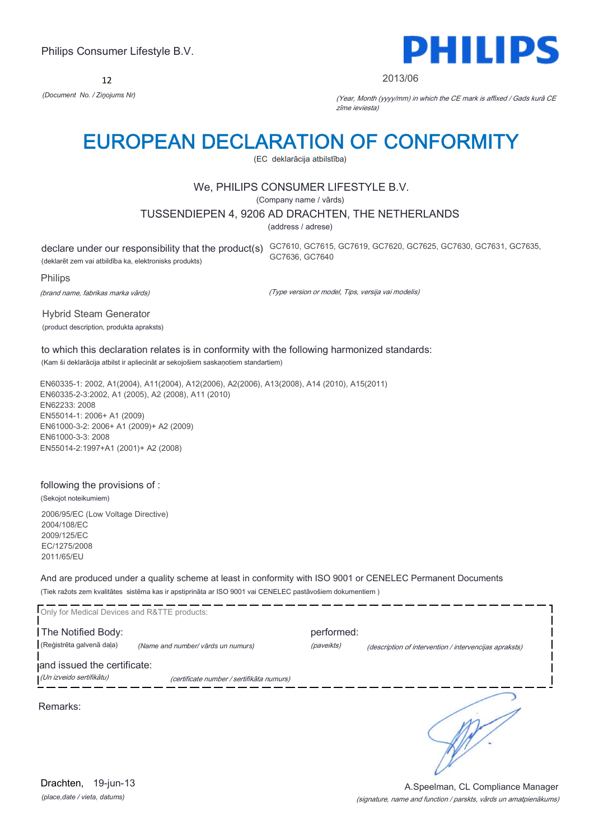12



#### 2013/06

*(Document No. / Ziņojums Nr)* (Year, Month (yyyy/mm) in which the CE mark is affixed / Gads kurā CE zīme ieviesta)

# EUROPEAN DECLARATION OF CONFORMITY

(EC deklarācija atbilstība)

### We, PHILIPS CONSUMER LIFESTYLE B.V.

(Company name / vārds)

#### TUSSENDIEPEN 4, 9206 AD DRACHTEN, THE NETHERLANDS

(address / adrese)

declare under our responsibility that the product(s) GC7610, GC7615, GC7619, GC7620, GC7625, GC7630, GC7631, GC7635, (deklarēt zem vai atbildība ka, elektronisks produkts) GC7636, GC7640

Philips

(brand name, fabrikas marka vārds)

(Type version or model, Tips, versija vai modelis)

Hybrid Steam Generator (product description, produkta apraksts)

to which this declaration relates is in conformity with the following harmonized standards: (Kam ši deklarācija atbilst ir apliecināt ar sekojošiem saskaņotiem standartiem)

EN60335-1: 2002, A1(2004), A11(2004), A12(2006), A2(2006), A13(2008), A14 (2010), A15(2011) EN60335-2-3:2002, A1 (2005), A2 (2008), A11 (2010) EN62233: 2008 EN55014-1: 2006+ A1 (2009) EN61000-3-2: 2006+ A1 (2009)+ A2 (2009) EN61000-3-3: 2008 EN55014-2:1997+A1 (2001)+ A2 (2008)

### following the provisions of :

(Sekojot noteikumiem)

2006/95/EC (Low Voltage Directive) 2004/108/EC 2009/125/EC EC/1275/2008 2011/65/EU

And are produced under a quality scheme at least in conformity with ISO 9001 or CENELEC Permanent Documents (Tiek ražots zem kvalitātes sistēma kas ir apstiprināta ar ISO 9001 vai CENELEC pastāvošiem dokumentiem )

| Only for Medical Devices and R&TTE products: |                                           |            |                                                        |
|----------------------------------------------|-------------------------------------------|------------|--------------------------------------------------------|
| The Notified Body:                           |                                           | performed: |                                                        |
| (Reģistrēta galvenā daļa)                    | (Name and number/ vārds un numurs)        | (paveikts) | (description of intervention / intervencijas apraksts) |
| and issued the certificate:                  |                                           |            |                                                        |
| (Un izveido sertifikātu)                     | (certificate number / sertifikāta numurs) |            |                                                        |
| Remarks:                                     |                                           |            |                                                        |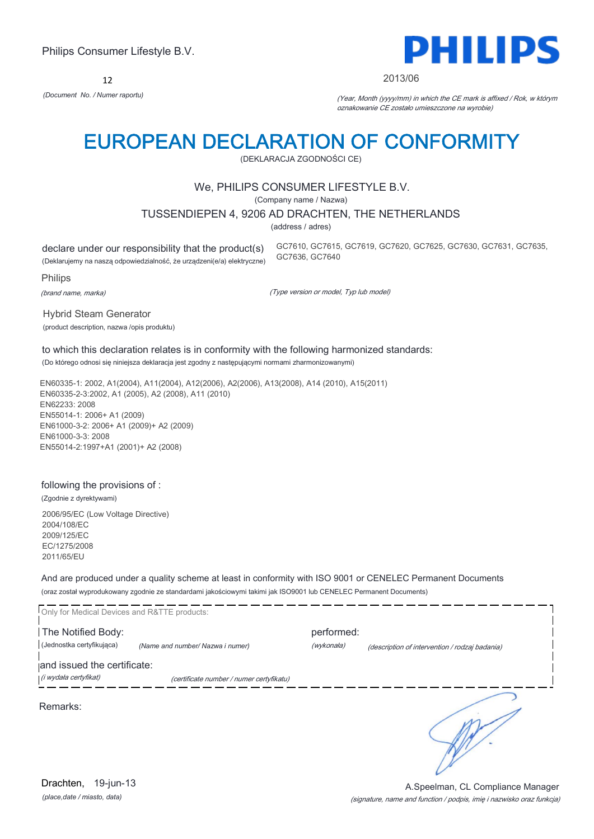12

# PHILIPS

#### 2013/06

*(Document No. / Numer raportu)* (Year, Month (yyyy/mm) in which the CE mark is affixed / Rok, w którym oznakowanie CE zostało umieszczone na wyrobie)

# EUROPEAN DECLARATION OF CONFORMITY

(DEKLARACJA ZGODNOŚCI CE)

### We, PHILIPS CONSUMER LIFESTYLE B.V.

(Company name / Nazwa)

#### TUSSENDIEPEN 4, 9206 AD DRACHTEN, THE NETHERLANDS

(address / adres)

declare under our responsibility that the product(s) (Deklarujemy na naszą odpowiedzialność, że urządzeni(e/a) elektryczne) GC7610, GC7615, GC7619, GC7620, GC7625, GC7630, GC7631, GC7635, GC7636, GC7640

Philips

(brand name, marka)

(Type version or model, Typ lub model)

Hybrid Steam Generator (product description, nazwa /opis produktu)

to which this declaration relates is in conformity with the following harmonized standards: (Do którego odnosi się niniejsza deklaracja jest zgodny z następującymi normami zharmonizowanymi)

EN60335-1: 2002, A1(2004), A11(2004), A12(2006), A2(2006), A13(2008), A14 (2010), A15(2011) EN60335-2-3:2002, A1 (2005), A2 (2008), A11 (2010) EN62233: 2008 EN55014-1: 2006+ A1 (2009) EN61000-3-2: 2006+ A1 (2009)+ A2 (2009) EN61000-3-3: 2008 EN55014-2:1997+A1 (2001)+ A2 (2008)

### following the provisions of :

(Zgodnie z dyrektywami)

2006/95/EC (Low Voltage Directive) 2004/108/EC 2009/125/EC EC/1275/2008 2011/65/EU

And are produced under a quality scheme at least in conformity with ISO 9001 or CENELEC Permanent Documents (oraz został wyprodukowany zgodnie ze standardami jakościowymi takimi jak ISO9001 lub CENELEC Permanent Documents)

| Only for Medical Devices and R&TTE products:         |                                          |                          |                                                |
|------------------------------------------------------|------------------------------------------|--------------------------|------------------------------------------------|
| The Notified Body:<br>(Jednostka certyfikująca)      | (Name and number/ Nazwa i numer)         | performed:<br>(wykonała) | (description of intervention / rodzaj badania) |
| and issued the certificate:<br>(i wydała certyfikat) | (certificate number / numer certyfikatu) |                          |                                                |
|                                                      |                                          |                          |                                                |
| Remarks:                                             |                                          |                          |                                                |
|                                                      |                                          |                          |                                                |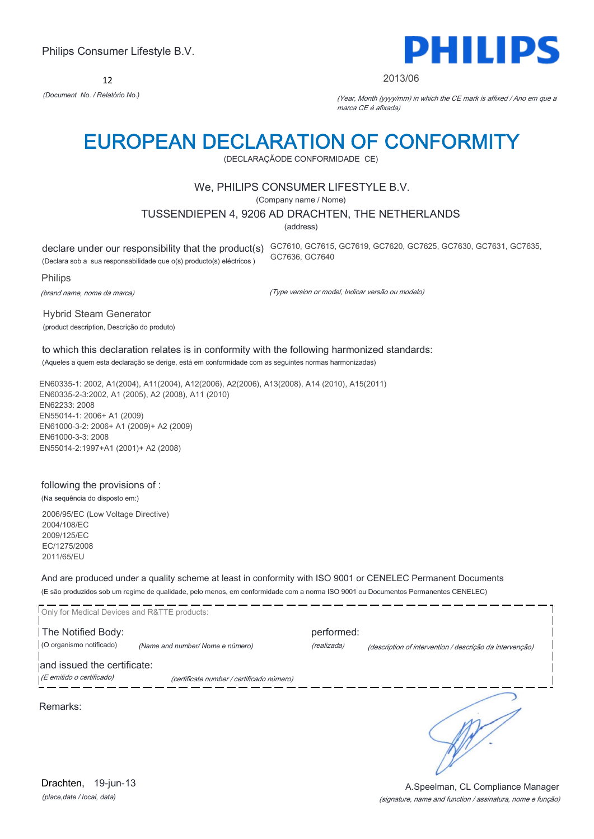12



#### 2013/06

*(Document No. / Relatório No.)* (Year, Month (yyyy/mm) in which the CE mark is affixed / Ano em que a marca CE é afixada)

# EUROPEAN DECLARATION OF CONFORMITY

(DECLARAÇÃODE CONFORMIDADE CE)

### We, PHILIPS CONSUMER LIFESTYLE B.V.

(Company name / Nome)

#### TUSSENDIEPEN 4, 9206 AD DRACHTEN, THE NETHERLANDS

(address)

(Declara sob a sua responsabilidade que o(s) producto(s) eléctricos )

declare under our responsibility that the product(s) GC7610, GC7615, GC7619, GC7620, GC7625, GC7630, GC7631, GC7635, GC7636, GC7640

Philips

(brand name, nome da marca)

(Type version or model, Indicar versão ou modelo)

Hybrid Steam Generator (product description, Descrição do produto)

to which this declaration relates is in conformity with the following harmonized standards: (Aqueles a quem esta declaração se derige, está em conformidade com as seguintes normas harmonizadas)

EN60335-1: 2002, A1(2004), A11(2004), A12(2006), A2(2006), A13(2008), A14 (2010), A15(2011) EN60335-2-3:2002, A1 (2005), A2 (2008), A11 (2010) EN62233: 2008 EN55014-1: 2006+ A1 (2009) EN61000-3-2: 2006+ A1 (2009)+ A2 (2009) EN61000-3-3: 2008 EN55014-2:1997+A1 (2001)+ A2 (2008)

### following the provisions of :

(Na sequência do disposto em:)

2006/95/EC (Low Voltage Directive) 2004/108/EC 2009/125/EC EC/1275/2008 2011/65/EU

And are produced under a quality scheme at least in conformity with ISO 9001 or CENELEC Permanent Documents (E são produzidos sob um regime de qualidade, pelo menos, em conformidade com a norma ISO 9001 ou Documentos Permanentes CENELEC)

Only for Medical Devices and R&TTE products: The Notified Body: performed: (O organismo notificado) *(Name and number/ Nome e número)* (realizada) (description of intervention / descrição da intervenção) and issued the certificate: (E emitido o certificado) (certificate number / certificado número) Remarks:

*(place,date / local, data)* Drachten, 19-jun-13

#### (signature, name and function / assinatura, nome e função) A.Speelman, CL Compliance Manager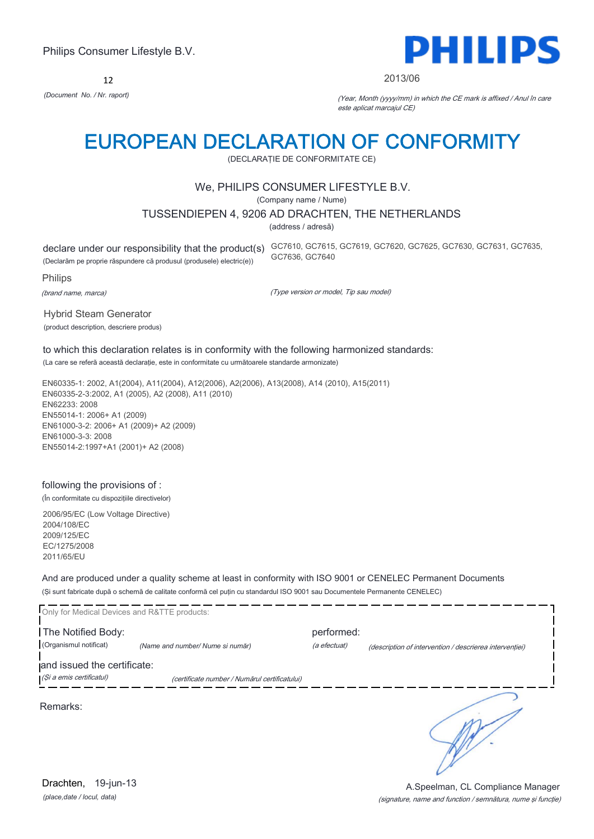12



#### 2013/06

*(Document No. / Nr. raport)* (Year, Month (yyyy/mm) in which the CE mark is affixed / Anul în care este aplicat marcajul CE)

# EUROPEAN DECLARATION OF CONFORMITY

(DECLARAŢIE DE CONFORMITATE CE)

### We, PHILIPS CONSUMER LIFESTYLE B.V.

(Company name / Nume)

#### TUSSENDIEPEN 4, 9206 AD DRACHTEN, THE NETHERLANDS

(address / adresă)

(Declarăm pe proprie răspundere că produsul (produsele) electric(e))

declare under our responsibility that the product(s) GC7610, GC7615, GC7619, GC7620, GC7625, GC7630, GC7631, GC7635, GC7636, GC7640

Philips

(brand name, marca)

(Type version or model, Tip sau model)

Hybrid Steam Generator (product description, descriere produs)

to which this declaration relates is in conformity with the following harmonized standards: (La care se referă această declaraţie, este in conformitate cu următoarele standarde armonizate)

EN60335-1: 2002, A1(2004), A11(2004), A12(2006), A2(2006), A13(2008), A14 (2010), A15(2011) EN60335-2-3:2002, A1 (2005), A2 (2008), A11 (2010) EN62233: 2008 EN55014-1: 2006+ A1 (2009) EN61000-3-2: 2006+ A1 (2009)+ A2 (2009) EN61000-3-3: 2008 EN55014-2:1997+A1 (2001)+ A2 (2008)

### following the provisions of :

(În conformitate cu dispozițiile directivelor)

2006/95/EC (Low Voltage Directive) 2004/108/EC 2009/125/EC EC/1275/2008 2011/65/EU

And are produced under a quality scheme at least in conformity with ISO 9001 or CENELEC Permanent Documents (Şi sunt fabricate după o schemă de calitate conformă cel puţin cu standardul ISO 9001 sau Documentele Permanente CENELEC)

| Only for Medical Devices and R&TTE products: |                                               |              |                                                         |
|----------------------------------------------|-----------------------------------------------|--------------|---------------------------------------------------------|
| The Notified Body:                           |                                               | performed:   |                                                         |
| (Organismul notificat)                       | (Name and number/ Nume si număr)              | (a efectuat) | (description of intervention / descrierea interventiei) |
| and issued the certificate:                  |                                               |              |                                                         |
| (Și a emis certificatul)                     | (certificate number / Numărul certificatului) |              |                                                         |
| Remarks:                                     |                                               |              |                                                         |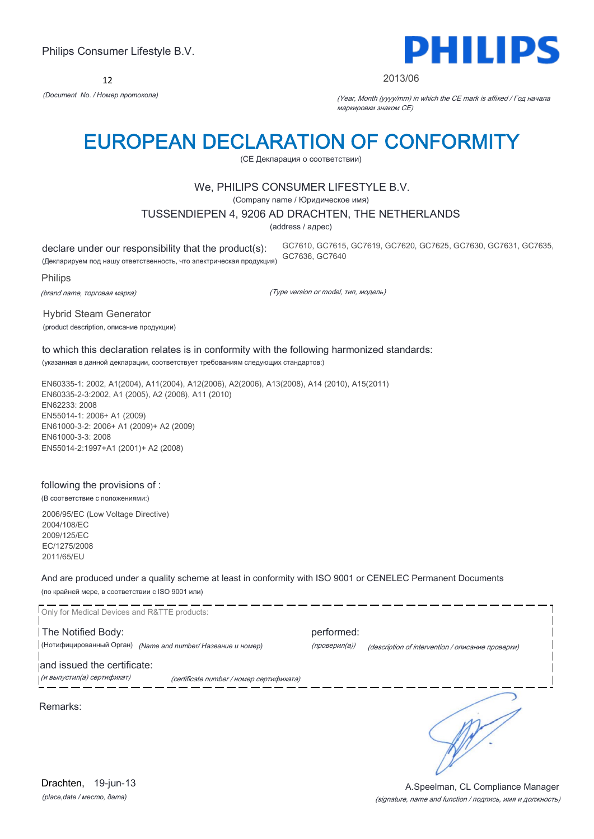12



#### 2013/06

*(Document No. / Номер протокола)* (Year, Month (yyyy/mm) in which the CE mark is affixed / Год начала маркировки знаком CE)

# EUROPEAN DECLARATION OF CONFORMITY

(CE Декларация о соответствии)

### We, PHILIPS CONSUMER LIFESTYLE B.V.

(Company name / Юридическое имя)

#### TUSSENDIEPEN 4, 9206 AD DRACHTEN, THE NETHERLANDS

(address / адрес)

declare under our responsibility that the product(s): (Декларируем под нашу ответственность, что электрическая продукция) GC7610, GC7615, GC7619, GC7620, GC7625, GC7630, GC7631, GC7635, GC7636, GC7640

Philips

(brand name, торговая марка)

(Type version or model, тип, модель)

Hybrid Steam Generator (product description, описание продукции)

to which this declaration relates is in conformity with the following harmonized standards: (указанная в данной декларации, соответствует требованиям следующих стандартов:)

EN60335-1: 2002, A1(2004), A11(2004), A12(2006), A2(2006), A13(2008), A14 (2010), A15(2011) EN60335-2-3:2002, A1 (2005), A2 (2008), A11 (2010) EN62233: 2008 EN55014-1: 2006+ A1 (2009) EN61000-3-2: 2006+ A1 (2009)+ A2 (2009) EN61000-3-3: 2008 EN55014-2:1997+A1 (2001)+ A2 (2008)

#### following the provisions of :

(В соответствие с положениями:)

2006/95/EC (Low Voltage Directive) 2004/108/EC 2009/125/EC EC/1275/2008 2011/65/EU

And are produced under a quality scheme at least in conformity with ISO 9001 or CENELEC Permanent Documents (по крайней мере, в соответствии с ISO 9001 или)

Only for Medical Devices and R&TTE products: The Notified Body: performed: |<br>| (Нотифицированный Орган) *(Name and number/ Название и номер) (проверил(а)) (description of intervention / описание проверки)* and issued the certificate: (и выпустил(а) сертификат) (certificate number / номер сертификата) Remarks:

*(place,date / место, дата)* Drachten, 19-jun-13

#### (signature, name and function / подпись, имя и должность) A.Speelman, CL Compliance Manager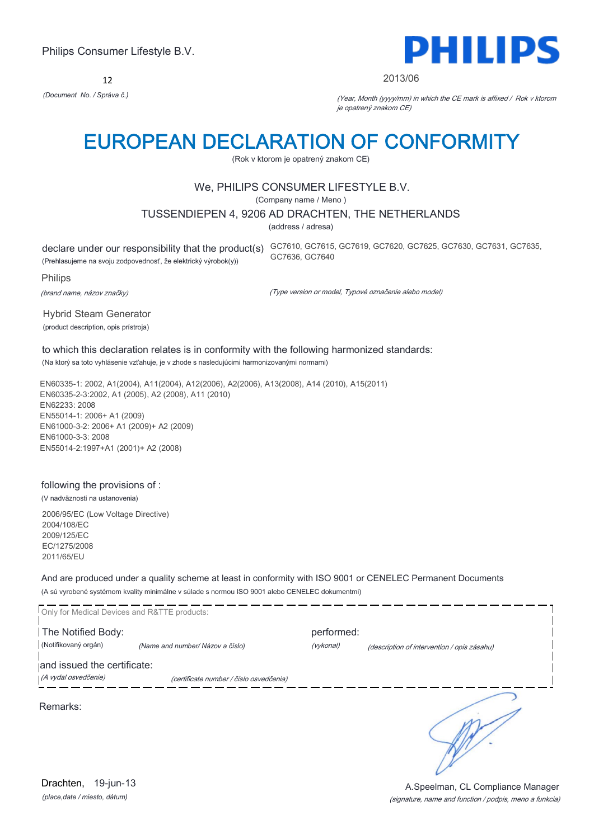12



#### 2013/06

*(Document No. / Správa č.)* (Year, Month (yyyy/mm) in which the CE mark is affixed / Rok v ktorom je opatrený znakom CE)

# EUROPEAN DECLARATION OF CONFORMITY

(Rok v ktorom je opatrený znakom CE)

### We, PHILIPS CONSUMER LIFESTYLE B.V.

(Company name / Meno )

#### TUSSENDIEPEN 4, 9206 AD DRACHTEN, THE NETHERLANDS

(address / adresa)

(Prehlasujeme na svoju zodpovednosť, že elektrický výrobok(y))

declare under our responsibility that the product(s) GC7610, GC7615, GC7619, GC7620, GC7625, GC7630, GC7631, GC7635, GC7636, GC7640

Philips

(brand name, názov značky)

(Type version or model, Typové označenie alebo model)

Hybrid Steam Generator (product description, opis prístroja)

to which this declaration relates is in conformity with the following harmonized standards: (Na ktorý sa toto vyhlásenie vzťahuje, je v zhode s nasledujúcimi harmonizovanými normami)

EN60335-1: 2002, A1(2004), A11(2004), A12(2006), A2(2006), A13(2008), A14 (2010), A15(2011) EN60335-2-3:2002, A1 (2005), A2 (2008), A11 (2010) EN62233: 2008 EN55014-1: 2006+ A1 (2009) EN61000-3-2: 2006+ A1 (2009)+ A2 (2009) EN61000-3-3: 2008 EN55014-2:1997+A1 (2001)+ A2 (2008)

### following the provisions of :

(V nadväznosti na ustanovenia)

2006/95/EC (Low Voltage Directive) 2004/108/EC 2009/125/EC EC/1275/2008 2011/65/EU

And are produced under a quality scheme at least in conformity with ISO 9001 or CENELEC Permanent Documents (A sú vyrobené systémom kvality minimálne v súlade s normou ISO 9001 alebo CENELEC dokumentmi)

| Only for Medical Devices and R&TTE products: |                                         |            |                                             |
|----------------------------------------------|-----------------------------------------|------------|---------------------------------------------|
| The Notified Body:                           |                                         | performed: |                                             |
| (Notifikovaný orgán)                         | (Name and number/ Názov a číslo)        | (vykonal)  | (description of intervention / opis zásahu) |
| and issued the certificate:                  |                                         |            |                                             |
| (A vydal osvedčenie)                         | (certificate number / číslo osvedčenia) |            |                                             |
| Remarks:                                     |                                         |            |                                             |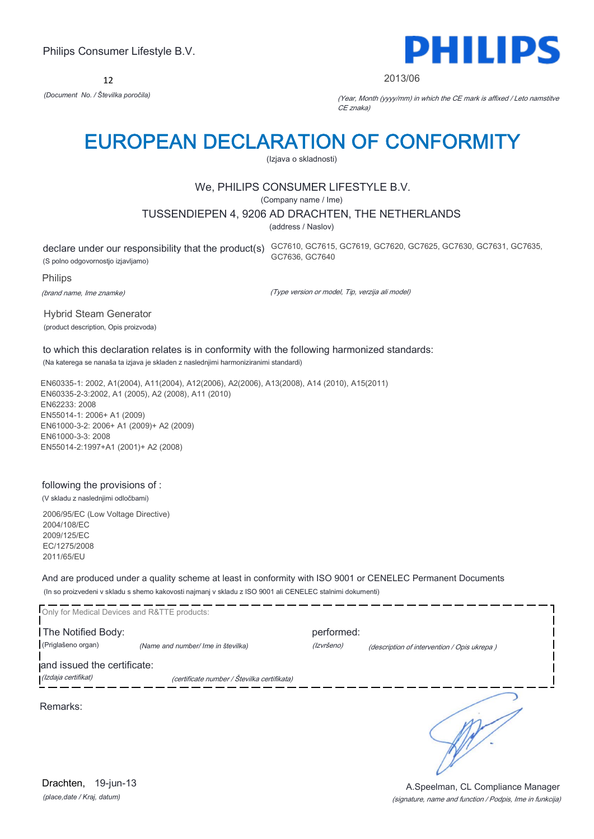12



#### 2013/06

*(Document No. / Številka poročila)* (Year, Month (yyyy/mm) in which the CE mark is affixed / Leto namstitve CE znaka)

# EUROPEAN DECLARATION OF CONFORMITY

(Izjava o skladnosti)

### We, PHILIPS CONSUMER LIFESTYLE B.V.

(Company name / Ime)

#### TUSSENDIEPEN 4, 9206 AD DRACHTEN, THE NETHERLANDS

(address / Naslov)

(S polno odgovornostjo izjavljamo)

declare under our responsibility that the product(s) GC7610, GC7615, GC7619, GC7620, GC7625, GC7630, GC7631, GC7635, GC7636, GC7640

Philips

(brand name, Ime znamke)

(Type version or model, Tip, verzija ali model)

Hybrid Steam Generator (product description, Opis proizvoda)

to which this declaration relates is in conformity with the following harmonized standards: (Na katerega se nanaša ta izjava je skladen z naslednjimi harmoniziranimi standardi)

EN60335-1: 2002, A1(2004), A11(2004), A12(2006), A2(2006), A13(2008), A14 (2010), A15(2011) EN60335-2-3:2002, A1 (2005), A2 (2008), A11 (2010) EN62233: 2008 EN55014-1: 2006+ A1 (2009) EN61000-3-2: 2006+ A1 (2009)+ A2 (2009) EN61000-3-3: 2008 EN55014-2:1997+A1 (2001)+ A2 (2008)

### following the provisions of :

(V skladu z naslednjimi odločbami)

2006/95/EC (Low Voltage Directive) 2004/108/EC 2009/125/EC EC/1275/2008 2011/65/EU

And are produced under a quality scheme at least in conformity with ISO 9001 or CENELEC Permanent Documents (In so proizvedeni v skladu s shemo kakovosti najmanj v skladu z ISO 9001 ali CENELEC stalnimi dokumenti)

|                             | Only for Medical Devices and R&TTE products: |            |                                             |
|-----------------------------|----------------------------------------------|------------|---------------------------------------------|
| The Notified Body:          |                                              | performed: |                                             |
| (Priglašeno organ)          | (Name and number/ Ime in številka)           | (Izvršeno) | (description of intervention / Opis ukrepa) |
| and issued the certificate: |                                              |            |                                             |
| (Izdaja certifikat)         | (certificate number / Številka certifikata)  |            |                                             |
| Remarks:                    |                                              |            |                                             |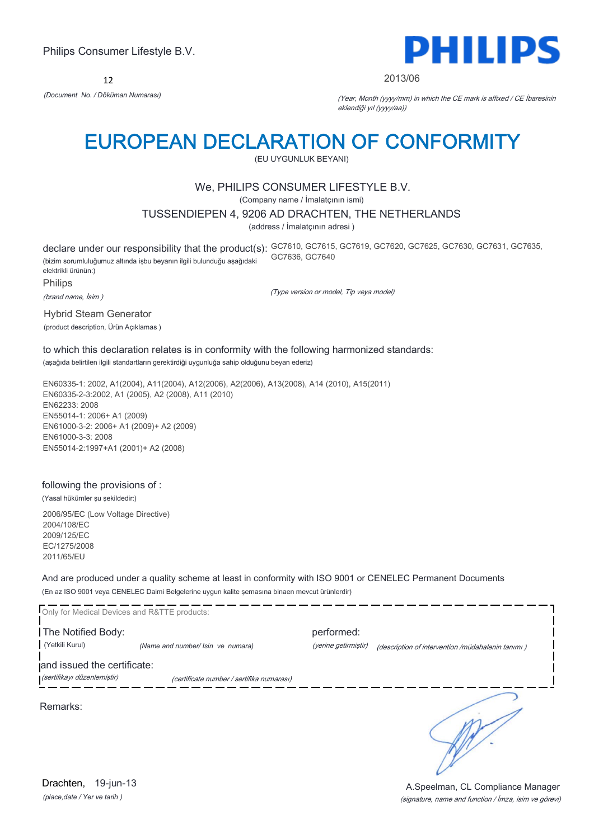12



#### 2013/06

*(Document No. / Döküman Numarası)* (Year, Month (yyyy/mm) in which the CE mark is affixed / CE İbaresinin eklendiği yıl (yyyy/aa))

# EUROPEAN DECLARATION OF CONFORMITY

(EU UYGUNLUK BEYANI)

# We, PHILIPS CONSUMER LIFESTYLE B.V.

(Company name / İmalatçının ismi)

### TUSSENDIEPEN 4, 9206 AD DRACHTEN, THE NETHERLANDS

(address / İmalatçının adresi )

declare under our responsibility that the product(s): GC7610, GC7615, GC7619, GC7620, GC7625, GC7630, GC7631, GC7635, (bizim sorumluluğumuz altında işbu beyanın ilgili bulunduğu aşağıdaki elektrikli ürünün:) GC7636, GC7640

Philips

(brand name, İsim )

(Type version or model, Tip veya model)

Hybrid Steam Generator (product description, Ürün Açıklamas )

to which this declaration relates is in conformity with the following harmonized standards: (aşağıda belirtilen ilgili standartların gerektirdiği uygunluğa sahip olduğunu beyan ederiz)

EN60335-1: 2002, A1(2004), A11(2004), A12(2006), A2(2006), A13(2008), A14 (2010), A15(2011) EN60335-2-3:2002, A1 (2005), A2 (2008), A11 (2010) EN62233: 2008 EN55014-1: 2006+ A1 (2009) EN61000-3-2: 2006+ A1 (2009)+ A2 (2009) EN61000-3-3: 2008 EN55014-2:1997+A1 (2001)+ A2 (2008)

### following the provisions of :

(Yasal hükümler şu şekildedir:)

2006/95/EC (Low Voltage Directive) 2004/108/EC 2009/125/EC EC/1275/2008 2011/65/EU

And are produced under a quality scheme at least in conformity with ISO 9001 or CENELEC Permanent Documents (En az ISO 9001 veya CENELEC Daimi Belgelerine uygun kalite şemasına binaen mevcut ürünlerdir)

Only for Medical Devices and R&TTE products: The Notified Body: performed: (Yetkili Kurul) *(Name and number/ Isin ve numara)* (yerine getirmiştir) (description of intervention /müdahalenin tanımı ) and issued the certificate: (sertifikayı düzenlemiştir) (certificate number / sertifika numarası) Remarks:

*(place,date / Yer ve tarih )* Drachten, 19-jun-13

(signature, name and function / İmza, isim ve görevi) A.Speelman, CL Compliance Manager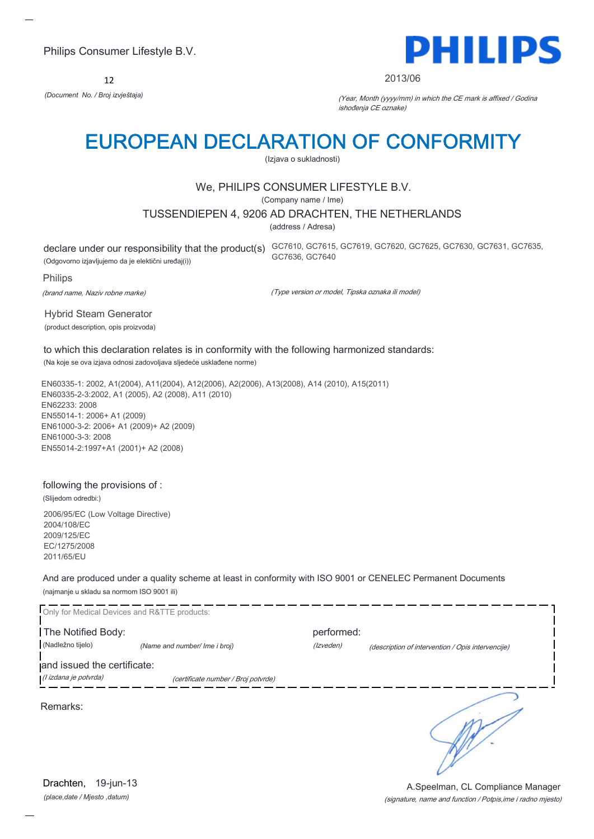12



#### 2013/06

*(Document No. / Broj izvještaja)* (Year, Month (yyyy/mm) in which the CE mark is affixed / Godina ishođenja CE oznake)

# EUROPEAN DECLARATION OF CONFORMITY

(Izjava o sukladnosti)

### We, PHILIPS CONSUMER LIFESTYLE B.V.

(Company name / Ime)

#### TUSSENDIEPEN 4, 9206 AD DRACHTEN, THE NETHERLANDS

(address / Adresa)

declare under our responsibility that the product(s) GC7610, GC7615, GC7619, GC7620, GC7625, GC7630, GC7631, GC7635, (Odgovorno izjavljujemo da je elektični uređaj(i)) GC7636, GC7640

#### Philips

(brand name, Naziv robne marke)

(Type version or model, Tipska oznaka ili model)

Hybrid Steam Generator (product description, opis proizvoda)

to which this declaration relates is in conformity with the following harmonized standards: (Na koje se ova izjava odnosi zadovoljava sljedeće usklađene norme)

EN60335-1: 2002, A1(2004), A11(2004), A12(2006), A2(2006), A13(2008), A14 (2010), A15(2011) EN60335-2-3:2002, A1 (2005), A2 (2008), A11 (2010) EN62233: 2008 EN55014-1: 2006+ A1 (2009) EN61000-3-2: 2006+ A1 (2009)+ A2 (2009) EN61000-3-3: 2008 EN55014-2:1997+A1 (2001)+ A2 (2008)

#### following the provisions of :

(Slijedom odredbi:)

2006/95/EC (Low Voltage Directive) 2004/108/EC 2009/125/EC EC/1275/2008 2011/65/EU

And are produced under a quality scheme at least in conformity with ISO 9001 or CENELEC Permanent Documents (najmanje u skladu sa normom ISO 9001 ili)

Only for Medical Devices and R&TTE products: The Notified Body: performed: (Nadležno tijelo) *(Name and number/ Ime i broj)* (Izveden) (description of intervention / Opis intervencije) and issued the certificate: (I izdana je potvrda) (certificate number / Broj potvrde) ∍ Remarks:

*(place,date / Mjesto ,datum)* Drachten, 19-jun-13

(signature, name and function / Potpis,ime i radno mjesto) A.Speelman, CL Compliance Manager